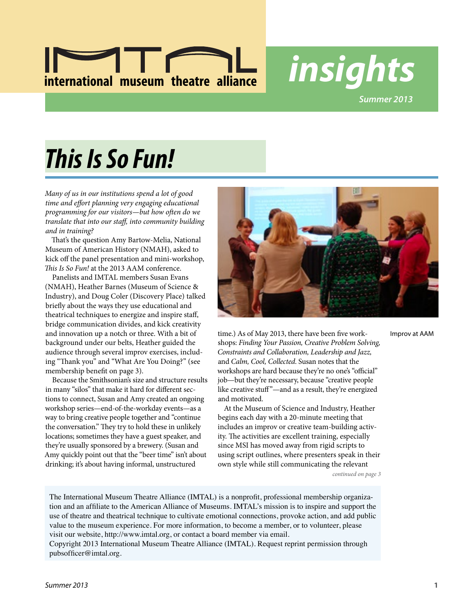

*Summer 2013*

# *This Is So Fun!*

*Many of us in our institutions spend a lot of good time and effort planning very engaging educational programming for our visitors—but how often do we translate that into our staff, into community building and in training?*

That's the question Amy Bartow-Melia, National Museum of American History (NMAH), asked to kick off the panel presentation and mini-workshop, *This Is So Fun!* at the 2013 AAM conference.

Panelists and IMTAL members Susan Evans (NMAH), Heather Barnes (Museum of Science & Industry), and Doug Coler (Discovery Place) talked briefly about the ways they use educational and theatrical techniques to energize and inspire staff, bridge communication divides, and kick creativity and innovation up a notch or three. With a bit of background under our belts, Heather guided the audience through several improv exercises, including "Thank you" and "What Are You Doing?" (see membership benefit on page 3).

Because the Smithsonian's size and structure results in many "silos" that make it hard for different sections to connect, Susan and Amy created an ongoing workshop series—end-of-the-workday events—as a way to bring creative people together and "continue the conversation." They try to hold these in unlikely locations; sometimes they have a guest speaker, and they're usually sponsored by a brewery. (Susan and Amy quickly point out that the "beer time" isn't about drinking; it's about having informal, unstructured



time.) As of May 2013, there have been five workshops: *Finding Your Passion, Creative Problem Solving, Constraints and Collaboration, Leadership and Jazz,* and *Calm, Cool, Collected*. Susan notes that the workshops are hard because they're no one's "official" job—but they're necessary, because "creative people like creative stuff"—and as a result, they're energized and motivated.

At the Museum of Science and Industry, Heather begins each day with a 20-minute meeting that includes an improv or creative team-building activity. The activities are excellent training, especially since MSI has moved away from rigid scripts to using script outlines, where presenters speak in their own style while still communicating the relevant *continued on page 3*

Improv at AAM

The International Museum Theatre Alliance (IMTAL) is a nonprofit, professional membership organization and an affiliate to the American Alliance of Museums. IMTAL's mission is to inspire and support the use of theatre and theatrical technique to cultivate emotional connections, provoke action, and add public value to the museum experience. For more information, to become a member, or to volunteer, please

visit our website, http://www.imtal.org, or contact a board member via email.

Copyright 2013 International Museum Theatre Alliance (IMTAL). Request reprint permission through pubsofficer@imtal.org.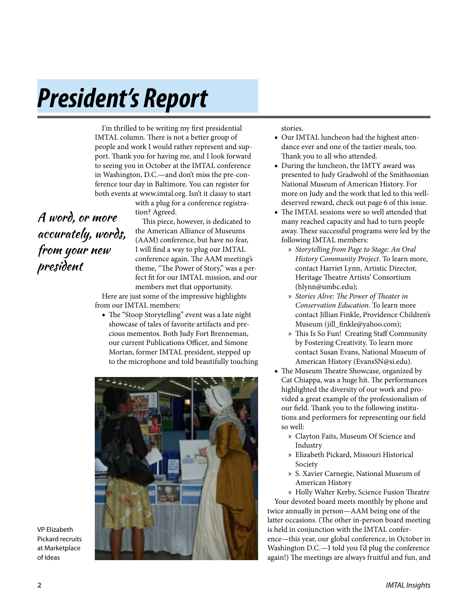# *President's Report*

I'm thrilled to be writing my first presidential IMTAL column. There is not a better group of people and work I would rather represent and support. Thank you for having me, and I look forward to seeing you in October at the IMTAL conference in Washington, D.C.—and don't miss the pre-conference tour day in Baltimore. You can register for both events at www.imtal.org. Isn't it classy to start

> with a plug for a conference registration? Agreed.

A word, or more accurately, words, from your new president

This piece, however, is dedicated to the American Alliance of Museums (AAM) conference, but have no fear, I will find a way to plug our IMTAL conference again. The AAM meeting's theme, "The Power of Story," was a perfect fit for our IMTAL mission, and our members met that opportunity.

Here are just some of the impressive highlights from our IMTAL members:

◆ The "Stoop Storytelling" event was a late night showcase of tales of favorite artifacts and precious mementos. Both Judy Fort Brenneman, our current Publications Officer, and Simone Mortan, former IMTAL president, stepped up to the microphone and told beautifully touching



stories.

- ◆ Our IMTAL luncheon had the highest attendance ever and one of the tastier meals, too. Thank you to all who attended.
- ◆ During the luncheon, the IMTY award was presented to Judy Gradwohl of the Smithsonian National Museum of American History. For more on Judy and the work that led to this welldeserved reward, check out page 6 of this issue.
- ◆ The IMTAL sessions were so well attended that many reached capacity and had to turn people away. These successful programs were led by the following IMTAL members:
	- » *Storytelling from Page to Stage: An Oral History Community Project.* To learn more, contact Harriet Lynn, Artistic Director, Heritage Theatre Artists' Consortium (hlynn@umbc.edu);
	- » *Stories Alive: The Power of Theater in Conservation Education*. To learn more contact Jillian Finkle, Providence Children's Museum (jill\_finkle@yahoo.com);
	- » This Is So Fun! Creating Staff Community by Fostering Creativity. To learn more contact Susan Evans, National Museum of American History (EvansSN@si.edu).
- ◆ The Museum Theatre Showcase, organized by Cat Chiappa, was a huge hit. The performances highlighted the diversity of our work and provided a great example of the professionalism of our field. Thank you to the following institutions and performers for representing our field so well:
	- » Clayton Faits, Museum Of Science and Industry
	- » Elizabeth Pickard, Missouri Historical Society
	- » S. Xavier Carnegie, National Museum of American History
	- » Holly Walter Kerby, Science Fusion Theatre

Your devoted board meets monthly by phone and twice annually in person—AAM being one of the latter occasions. (The other in-person board meeting is held in conjunction with the IMTAL conference—this year, our global conference, in October in Washington D.C.—I told you I'd plug the conference again!) The meetings are always fruitful and fun, and

**2** *IMTAL Insights*

VP Elizabeth Pickard recruits at Marketplace of Ideas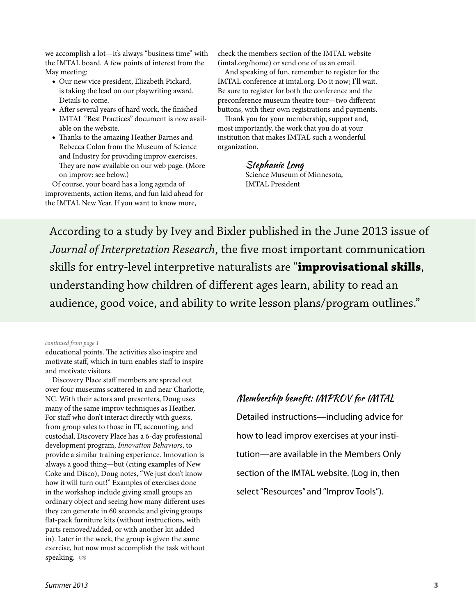we accomplish a lot—it's always "business time" with the IMTAL board. A few points of interest from the May meeting:

- ◆ Our new vice president, Elizabeth Pickard, is taking the lead on our playwriting award. Details to come.
- ◆ After several years of hard work, the finished IMTAL "Best Practices" document is now available on the website.
- ◆ Thanks to the amazing Heather Barnes and Rebecca Colon from the Museum of Science and Industry for providing improv exercises. They are now available on our web page. (More on improv: see below.)

Of course, your board has a long agenda of improvements, action items, and fun laid ahead for the IMTAL New Year. If you want to know more,

check the members section of the IMTAL website (imtal.org/home) or send one of us an email.

And speaking of fun, remember to register for the IMTAL conference at imtal.org. Do it now; I'll wait. Be sure to register for both the conference and the preconference museum theatre tour—two different buttons, with their own registrations and payments.

Thank you for your membership, support and, most importantly, the work that you do at your institution that makes IMTAL such a wonderful organization.

#### Stephanie Long

Science Museum of Minnesota, IMTAL President

According to a study by Ivey and Bixler published in the June 2013 issue of *Journal of Interpretation Research*, the five most important communication skills for entry-level interpretive naturalists are "**improvisational skills**, understanding how children of different ages learn, ability to read an audience, good voice, and ability to write lesson plans/program outlines."

#### *continued from page 1*

educational points. The activities also inspire and motivate staff, which in turn enables staff to inspire and motivate visitors.

Discovery Place staff members are spread out over four museums scattered in and near Charlotte, NC. With their actors and presenters, Doug uses many of the same improv techniques as Heather. For staff who don't interact directly with guests, from group sales to those in IT, accounting, and custodial, Discovery Place has a 6-day professional development program, *Innovation Behaviors*, to provide a similar training experience. Innovation is always a good thing—but (citing examples of New Coke and Disco), Doug notes, "We just don't know how it will turn out!" Examples of exercises done in the workshop include giving small groups an ordinary object and seeing how many different uses they can generate in 60 seconds; and giving groups flat-pack furniture kits (without instructions, with parts removed/added, or with another kit added in). Later in the week, the group is given the same exercise, but now must accomplish the task without speaking.

### Membership benefit: IMPROV for IMTAL

Detailed instructions—including advice for how to lead improv exercises at your institution—are available in the Members Only section of the IMTAL website. (Log in, then select "Resources" and "Improv Tools").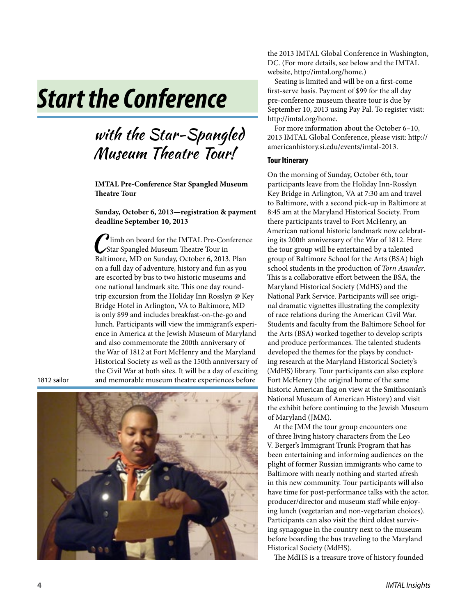# *Start the Conference*

### with the Star-Spangled Museum Theatre Tour!

**IMTAL Pre-Conference Star Spangled Museum Theatre Tour**

**Sunday, October 6, 2013—registration & payment deadline September 10, 2013**

C limb on board for the IMTAL Pre-Conference Star Spangled Museum Theatre Tour in Baltimore, MD on Sunday, October 6, 2013. Plan on a full day of adventure, history and fun as you are escorted by bus to two historic museums and one national landmark site. This one day roundtrip excursion from the Holiday Inn Rosslyn @ Key Bridge Hotel in Arlington, VA to Baltimore, MD is only \$99 and includes breakfast-on-the-go and lunch. Participants will view the immigrant's experience in America at the Jewish Museum of Maryland and also commemorate the 200th anniversary of the War of 1812 at Fort McHenry and the Maryland Historical Society as well as the 150th anniversary of the Civil War at both sites. It will be a day of exciting and memorable museum theatre experiences before

1812 sailor



the 2013 IMTAL Global Conference in Washington, DC. (For more details, see below and the IMTAL website, http://imtal.org/home.)

Seating is limited and will be on a first-come first-serve basis. Payment of \$99 for the all day pre-conference museum theatre tour is due by September 10, 2013 using Pay Pal. To register visit: http://imtal.org/home.

For more information about the October 6–10, 2013 IMTAL Global Conference, please visit: http:// americanhistory.si.edu/events/imtal-2013.

#### **Tour Itinerary**

On the morning of Sunday, October 6th, tour participants leave from the Holiday Inn-Rosslyn Key Bridge in Arlington, VA at 7:30 am and travel to Baltimore, with a second pick-up in Baltimore at 8:45 am at the Maryland Historical Society. From there participants travel to Fort McHenry, an American national historic landmark now celebrating its 200th anniversary of the War of 1812. Here the tour group will be entertained by a talented group of Baltimore School for the Arts (BSA) high school students in the production of *Torn Asunder*. This is a collaborative effort between the BSA, the Maryland Historical Society (MdHS) and the National Park Service. Participants will see original dramatic vignettes illustrating the complexity of race relations during the American Civil War. Students and faculty from the Baltimore School for the Arts (BSA) worked together to develop scripts and produce performances. The talented students developed the themes for the plays by conducting research at the Maryland Historical Society's (MdHS) library. Tour participants can also explore Fort McHenry (the original home of the same historic American flag on view at the Smithsonian's National Museum of American History) and visit the exhibit before continuing to the Jewish Museum of Maryland (JMM).

At the JMM the tour group encounters one of three living history characters from the Leo V. Berger's Immigrant Trunk Program that has been entertaining and informing audiences on the plight of former Russian immigrants who came to Baltimore with nearly nothing and started afresh in this new community. Tour participants will also have time for post-performance talks with the actor, producer/director and museum staff while enjoying lunch (vegetarian and non-vegetarian choices). Participants can also visit the third oldest surviving synagogue in the country next to the museum before boarding the bus traveling to the Maryland Historical Society (MdHS).

The MdHS is a treasure trove of history founded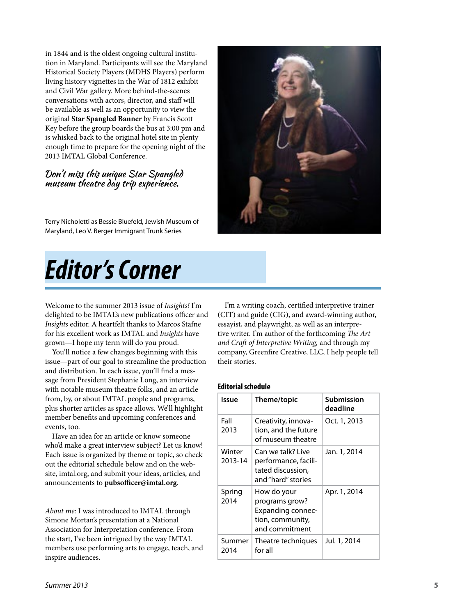in 1844 and is the oldest ongoing cultural institution in Maryland. Participants will see the Maryland Historical Society Players (MDHS Players) perform living history vignettes in the War of 1812 exhibit and Civil War gallery. More behind-the-scenes conversations with actors, director, and staff will be available as well as an opportunity to view the original **Star Spangled Banner** by Francis Scott Key before the group boards the bus at 3:00 pm and is whisked back to the original hotel site in plenty enough time to prepare for the opening night of the 2013 IMTAL Global Conference.

#### Don't miss this unique Star Spangled museum theatre day trip experience.

Terry Nicholetti as Bessie Bluefeld, Jewish Museum of Maryland, Leo V. Berger Immigrant Trunk Series

*Editor's Corner*

Welcome to the summer 2013 issue of *Insights!* I'm delighted to be IMTAL's new publications officer and *Insights* editor. A heartfelt thanks to Marcos Stafne for his excellent work as IMTAL and *Insights* have grown—I hope my term will do you proud.

You'll notice a few changes beginning with this issue—part of our goal to streamline the production and distribution. In each issue, you'll find a message from President Stephanie Long, an interview with notable museum theatre folks, and an article from, by, or about IMTAL people and programs, plus shorter articles as space allows. We'll highlight member benefits and upcoming conferences and events, too.

Have an idea for an article or know someone who'd make a great interview subject? Let us know! Each issue is organized by theme or topic, so check out the editorial schedule below and on the website, imtal.org, and submit your ideas, articles, and announcements to **pubsofficer@imtal.org**.

*About me:* I was introduced to IMTAL through Simone Mortan's presentation at a National Association for Interpretation conference. From the start, I've been intrigued by the way IMTAL members use performing arts to engage, teach, and inspire audiences.

I'm a writing coach, certified interpretive trainer (CIT) and guide (CIG), and award-winning author, essayist, and playwright, as well as an interpretive writer. I'm author of the forthcoming *The Art and Craft of Interpretive Writing,* and through my company, Greenfire Creative, LLC, I help people tell their stories.

#### **Editorial schedule**

| Issue             | Theme/topic                                                                                     | Submission<br>deadline |
|-------------------|-------------------------------------------------------------------------------------------------|------------------------|
| Fall<br>2013      | Creativity, innova-<br>tion, and the future<br>of museum theatre                                | Oct. 1, 2013           |
| Winter<br>2013-14 | Can we talk? Live<br>performance, facili-<br>tated discussion,<br>and "hard" stories            | Jan. 1, 2014           |
| Spring<br>2014    | How do your<br>programs grow?<br><b>Expanding connec-</b><br>tion, community,<br>and commitment | Apr. 1, 2014           |
| Summer<br>2014    | Theatre techniques<br>for all                                                                   | Jul. 1, 2014           |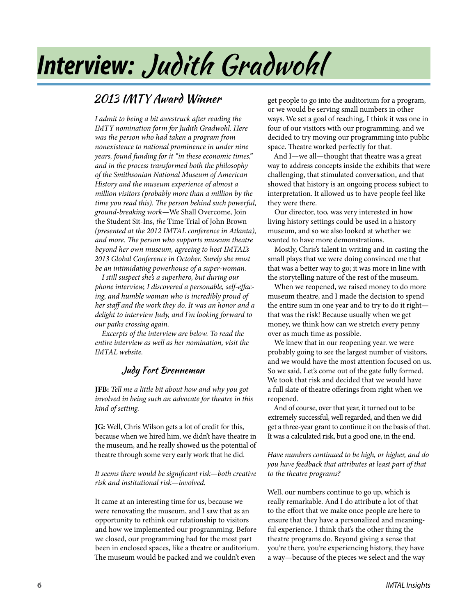# *Interview:* Judith Gradwohl

### 2013 IMTY Award Winner

*I admit to being a bit awestruck after reading the IMTY nomination form for Judith Gradwohl. Here was the person who had taken a program from nonexistence to national prominence in under nine years, found funding for it "in these economic times," and in the process transformed both the philosophy of the Smithsonian National Museum of American History and the museum experience of almost a million visitors (probably more than a million by the time you read this). The person behind such powerful, ground-breaking work—*We Shall Overcome, Join the Student Sit-Ins, *the* Time Trial of John Brown *(presented at the 2012 IMTAL conference in Atlanta), and more. The person who supports museum theatre beyond her own museum, agreeing to host IMTAL's 2013 Global Conference in October. Surely she must be an intimidating powerhouse of a super-woman.*

*I still suspect she's a superhero, but during our phone interview, I discovered a personable, self-effacing, and humble woman who is incredibly proud of her staff and the work they do. It was an honor and a delight to interview Judy, and I'm looking forward to our paths crossing again.*

*Excerpts of the interview are below. To read the entire interview as well as her nomination, visit the IMTAL website.*

### Judy Fort Brenneman

**JFB:** *Tell me a little bit about how and why you got involved in being such an advocate for theatre in this kind of setting.*

**JG:** Well, Chris Wilson gets a lot of credit for this, because when we hired him, we didn't have theatre in the museum, and he really showed us the potential of theatre through some very early work that he did.

#### *It seems there would be significant risk—both creative risk and institutional risk—involved.*

It came at an interesting time for us, because we were renovating the museum, and I saw that as an opportunity to rethink our relationship to visitors and how we implemented our programming. Before we closed, our programming had for the most part been in enclosed spaces, like a theatre or auditorium. The museum would be packed and we couldn't even

get people to go into the auditorium for a program, or we would be serving small numbers in other ways. We set a goal of reaching, I think it was one in four of our visitors with our programming, and we decided to try moving our programming into public space. Theatre worked perfectly for that.

And I—we all—thought that theatre was a great way to address concepts inside the exhibits that were challenging, that stimulated conversation, and that showed that history is an ongoing process subject to interpretation. It allowed us to have people feel like they were there.

Our director, too, was very interested in how living history settings could be used in a history museum, and so we also looked at whether we wanted to have more demonstrations.

Mostly, Chris's talent in writing and in casting the small plays that we were doing convinced me that that was a better way to go; it was more in line with the storytelling nature of the rest of the museum.

When we reopened, we raised money to do more museum theatre, and I made the decision to spend the entire sum in one year and to try to do it right that was the risk! Because usually when we get money, we think how can we stretch every penny over as much time as possible.

We knew that in our reopening year. we were probably going to see the largest number of visitors, and we would have the most attention focused on us. So we said, Let's come out of the gate fully formed. We took that risk and decided that we would have a full slate of theatre offerings from right when we reopened.

And of course, over that year, it turned out to be extremely successful, well regarded, and then we did get a three-year grant to continue it on the basis of that. It was a calculated risk, but a good one, in the end.

*Have numbers continued to be high, or higher, and do you have feedback that attributes at least part of that to the theatre programs?*

Well, our numbers continue to go up, which is really remarkable. And I do attribute a lot of that to the effort that we make once people are here to ensure that they have a personalized and meaningful experience. I think that's the other thing the theatre programs do. Beyond giving a sense that you're there, you're experiencing history, they have a way—because of the pieces we select and the way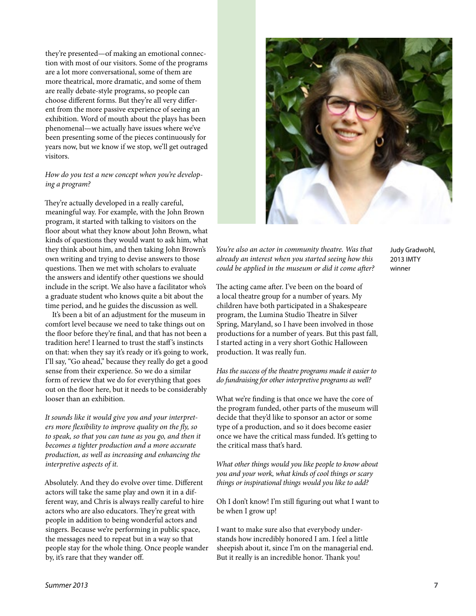they're presented—of making an emotional connection with most of our visitors. Some of the programs are a lot more conversational, some of them are more theatrical, more dramatic, and some of them are really debate-style programs, so people can choose different forms. But they're all very different from the more passive experience of seeing an exhibition. Word of mouth about the plays has been phenomenal—we actually have issues where we've been presenting some of the pieces continuously for years now, but we know if we stop, we'll get outraged visitors.

#### *How do you test a new concept when you're developing a program?*

They're actually developed in a really careful, meaningful way. For example, with the John Brown program, it started with talking to visitors on the floor about what they know about John Brown, what kinds of questions they would want to ask him, what they think about him, and then taking John Brown's own writing and trying to devise answers to those questions. Then we met with scholars to evaluate the answers and identify other questions we should include in the script. We also have a facilitator who's a graduate student who knows quite a bit about the time period, and he guides the discussion as well.

It's been a bit of an adjustment for the museum in comfort level because we need to take things out on the floor before they're final, and that has not been a tradition here! I learned to trust the staff 's instincts on that: when they say it's ready or it's going to work, I'll say, "Go ahead," because they really do get a good sense from their experience. So we do a similar form of review that we do for everything that goes out on the floor here, but it needs to be considerably looser than an exhibition.

*It sounds like it would give you and your interpreters more flexibility to improve quality on the fly, so to speak, so that you can tune as you go, and then it becomes a tighter production and a more accurate production, as well as increasing and enhancing the interpretive aspects of it.* 

Absolutely. And they do evolve over time. Different actors will take the same play and own it in a different way, and Chris is always really careful to hire actors who are also educators. They're great with people in addition to being wonderful actors and singers. Because we're performing in public space, the messages need to repeat but in a way so that people stay for the whole thing. Once people wander by, it's rare that they wander off.



*You're also an actor in community theatre. Was that already an interest when you started seeing how this could be applied in the museum or did it come after?*

The acting came after. I've been on the board of a local theatre group for a number of years. My children have both participated in a Shakespeare program, the Lumina Studio Theatre in Silver Spring, Maryland, so I have been involved in those productions for a number of years. But this past fall, I started acting in a very short Gothic Halloween production. It was really fun.

*Has the success of the theatre programs made it easier to do fundraising for other interpretive programs as well?*

What we're finding is that once we have the core of the program funded, other parts of the museum will decide that they'd like to sponsor an actor or some type of a production, and so it does become easier once we have the critical mass funded. It's getting to the critical mass that's hard.

*What other things would you like people to know about you and your work, what kinds of cool things or scary things or inspirational things would you like to add?*

Oh I don't know! I'm still figuring out what I want to be when I grow up!

I want to make sure also that everybody understands how incredibly honored I am. I feel a little sheepish about it, since I'm on the managerial end. But it really is an incredible honor. Thank you!

Judy Gradwohl, 2013 IMTY winner